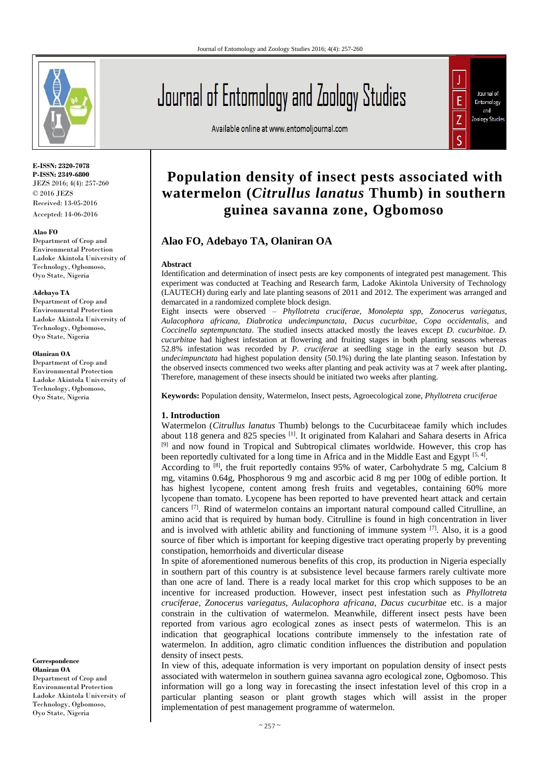

**E-ISSN: 2320-7078 P-ISSN: 2349-6800** JEZS 2016; 4(4): 257-260  $\odot$  2016 JEZS Received: 13-05-2016 Accepted: 14-06-2016

#### **Alao FO**

Department of Crop and Environmental Protection Ladoke Akintola University of Technology, Ogbomoso, Oyo State, Nigeria

#### **Adebayo TA**

Department of Crop and Environmental Protection Ladoke Akintola University of Technology, Ogbomoso, Oyo State, Nigeria

#### **Olaniran OA**

Department of Crop and Environmental Protection Ladoke Akintola University of Technology, Ogbomoso, Oyo State, Nigeria

**Correspondence Olaniran OA** Department of Crop and Environmental Protection Ladoke Akintola University of Technology, Ogbomoso, Oyo State, Nigeria

# Journal of Entomology and Zoology Studies

Available online at www.entomoljournal.com



# **Population density of insect pests associated with watermelon (***Citrullus lanatus* **Thumb) in southern guinea savanna zone, Ogbomoso**

## **Alao FO, Adebayo TA, Olaniran OA**

#### **Abstract**

Identification and determination of insect pests are key components of integrated pest management. This experiment was conducted at Teaching and Research farm, Ladoke Akintola University of Technology (LAUTECH) during early and late planting seasons of 2011 and 2012. The experiment was arranged and demarcated in a randomized complete block design.

Eight insects were observed – *Phyllotreta cruciferae*, *Monolepta spp*, *Zonocerus variegatus*, *Aulacophora africana*, *Diabrotica undecimpunctata*, *Dacus cucurbitae*, *Copa occidentalis*, and *Coccinella septempunctata*. The studied insects attacked mostly the leaves except *D. cucurbitae*. *D. cucurbitae* had highest infestation at flowering and fruiting stages in both planting seasons whereas 52.8% infestation was recorded by *P. cruciferae* at seedling stage in the early season but *D. undecimpunctata* had highest population density (50.1%) during the late planting season. Infestation by the observed insects commenced two weeks after planting and peak activity was at 7 week after planting**.**  Therefore, management of these insects should be initiated two weeks after planting.

**Keywords:** Population density, Watermelon*,* Insect pests, Agroecological zone, *Phyllotreta cruciferae*

#### **1. Introduction**

Watermelon (*Citrullus lanatus* Thumb) belongs to the Cucurbitaceae family which includes about 118 genera and 825 species [1]. It originated from Kalahari and Sahara deserts in Africa [9] and now found in Tropical and Subtropical climates worldwide. However, this crop has been reportedly cultivated for a long time in Africa and in the Middle East and Egypt [5, 4].

According to  $^{[8]}$ , the fruit reportedly contains 95% of water, Carbohydrate 5 mg, Calcium 8 mg, vitamins 0.64g, Phosphorous 9 mg and ascorbic acid 8 mg per 100g of edible portion. It has highest lycopene, content among fresh fruits and vegetables, containing 60% more lycopene than tomato. Lycopene has been reported to have prevented heart attack and certain cancers  $[7]$ . Rind of watermelon contains an important natural compound called Citrulline, an amino acid that is required by human body. Citrulline is found in high concentration in liver and is involved with athletic ability and functioning of immune system  $[7]$ . Also, it is a good source of fiber which is important for keeping digestive tract operating properly by preventing constipation, hemorrhoids and diverticular disease

In spite of aforementioned numerous benefits of this crop, its production in Nigeria especially in southern part of this country is at subsistence level because farmers rarely cultivate more than one acre of land. There is a ready local market for this crop which supposes to be an incentive for increased production. However, insect pest infestation such as *Phyllotreta cruciferae*, *Zonocerus variegatus*, *Aulacophora africana*, *Dacus cucurbitae* etc. is a major constrain in the cultivation of watermelon. Meanwhile, different insect pests have been reported from various agro ecological zones as insect pests of watermelon. This is an indication that geographical locations contribute immensely to the infestation rate of watermelon. In addition, agro climatic condition influences the distribution and population density of insect pests.

In view of this, adequate information is very important on population density of insect pests associated with watermelon in southern guinea savanna agro ecological zone, Ogbomoso. This information will go a long way in forecasting the insect infestation level of this crop in a particular planting season or plant growth stages which will assist in the proper implementation of pest management programme of watermelon.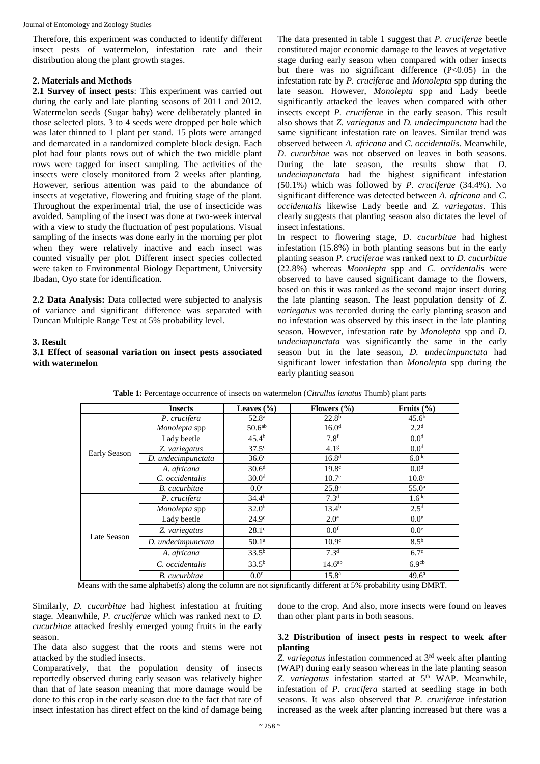Therefore, this experiment was conducted to identify different insect pests of watermelon, infestation rate and their distribution along the plant growth stages.

## **2. Materials and Methods**

**2.1 Survey of insect pests**: This experiment was carried out during the early and late planting seasons of 2011 and 2012. Watermelon seeds (Sugar baby) were deliberately planted in those selected plots. 3 to 4 seeds were dropped per hole which was later thinned to 1 plant per stand. 15 plots were arranged and demarcated in a randomized complete block design. Each plot had four plants rows out of which the two middle plant rows were tagged for insect sampling. The activities of the insects were closely monitored from 2 weeks after planting. However, serious attention was paid to the abundance of insects at vegetative, flowering and fruiting stage of the plant. Throughout the experimental trial, the use of insecticide was avoided. Sampling of the insect was done at two-week interval with a view to study the fluctuation of pest populations. Visual sampling of the insects was done early in the morning per plot when they were relatively inactive and each insect was counted visually per plot. Different insect species collected were taken to Environmental Biology Department, University Ibadan, Oyo state for identification.

**2.2 Data Analysis:** Data collected were subjected to analysis of variance and significant difference was separated with Duncan Multiple Range Test at 5% probability level.

#### **3. Result**

#### **3.1 Effect of seasonal variation on insect pests associated with watermelon**

The data presented in table 1 suggest that *P. cruciferae* beetle constituted major economic damage to the leaves at vegetative stage during early season when compared with other insects but there was no significant difference (P<0.05) in the infestation rate by *P. cruciferae* and *Monolepta* spp during the late season. However, *Monolepta* spp and Lady beetle significantly attacked the leaves when compared with other insects except *P. cruciferae* in the early season. This result also shows that *Z. variegatus* and *D. undecimpunctata* had the same significant infestation rate on leaves. Similar trend was observed between *A. africana* and *C. occidentalis*. Meanwhile, *D. cucurbitae* was not observed on leaves in both seasons. During the late season, the results show that *D. undecimpunctata* had the highest significant infestation (50.1%) which was followed by *P. cruciferae* (34.4%). No significant difference was detected between *A. africana* and *C. occidentalis* likewise Lady beetle and *Z. variegatus*. This clearly suggests that planting season also dictates the level of insect infestations.

In respect to flowering stage, *D. cucurbitae* had highest infestation (15.8%) in both planting seasons but in the early planting season *P. cruciferae* was ranked next to *D. cucurbitae* (22.8%) whereas *Monolepta* spp and *C. occidentalis* were observed to have caused significant damage to the flowers, based on this it was ranked as the second major insect during the late planting season. The least population density of *Z. variegatus* was recorded during the early planting season and no infestation was observed by this insect in the late planting season. However, infestation rate by *Monolepta* spp and *D. undecimpunctata* was significantly the same in the early season but in the late season, *D. undecimpunctata* had significant lower infestation than *Monolepta* spp during the early planting season

|              | <b>Insects</b>       | Leaves $(\% )$     | Flowers $(\% )$    | Fruits $(\% )$    |  |
|--------------|----------------------|--------------------|--------------------|-------------------|--|
| Early Season | P. crucifera         | $52.8^{\rm a}$     | 22.8 <sup>b</sup>  | 45.6 <sup>b</sup> |  |
|              | Monolepta spp        | 50.6 <sup>ab</sup> | 16.0 <sup>d</sup>  | 2.2 <sup>d</sup>  |  |
|              | Lady beetle          | $45.4^{b}$         | 7.8 <sup>f</sup>   | 0.0 <sup>d</sup>  |  |
|              | Z. variegatus        | $37.5^{\circ}$     | 4.1 <sup>g</sup>   | 0.0 <sup>d</sup>  |  |
|              | D. undecimpunctata   | $36.6^\circ$       | 16.8 <sup>d</sup>  | 6.0 <sup>dc</sup> |  |
|              | A. africana          | $30.6^{\rm d}$     | 19.8 <sup>c</sup>  | 0.0 <sup>d</sup>  |  |
|              | C. occidentalis      | 30.0 <sup>d</sup>  | 10.7 <sup>e</sup>  | 10.8 <sup>c</sup> |  |
|              | <b>B.</b> cucurbitae | 0.0 <sup>e</sup>   | 25.8 <sup>a</sup>  | 55.0 <sup>a</sup> |  |
| Late Season  | P. crucifera         | $34.4^{b}$         | 7.3 <sup>d</sup>   | 1.6 <sup>de</sup> |  |
|              | Monolepta spp        | 32.0 <sup>b</sup>  | 13.4 <sup>b</sup>  | 2.5 <sup>d</sup>  |  |
|              | Lady beetle          | 24.9 <sup>c</sup>  | $2.0^\circ$        | 0.0 <sup>e</sup>  |  |
|              | Z. variegatus        | $28.1^\circ$       | 0.0 <sup>f</sup>   | 0.0 <sup>e</sup>  |  |
|              | D. undecimpunctata   | 50.1 <sup>a</sup>  | 10.9 <sup>c</sup>  | 8.5 <sup>b</sup>  |  |
|              | A. africana          | $33.5^{b}$         | 7.3 <sup>d</sup>   | $6.7^\circ$       |  |
|              | C. occidentalis      | $33.5^{b}$         | 14.6 <sup>ab</sup> | 6.9 <sup>cb</sup> |  |
|              | <b>B.</b> cucurbitae | 0.0 <sup>d</sup>   | $15.8^{\rm a}$     | 49.6 <sup>a</sup> |  |

**Table 1:** Percentage occurrence of insects on watermelon (*Citrullus lanatus* Thumb) plant parts

Means with the same alphabet(s) along the column are not significantly different at 5% probability using DMRT.

Similarly, *D. cucurbitae* had highest infestation at fruiting stage. Meanwhile, *P. cruciferae* which was ranked next to *D. cucurbitae* attacked freshly emerged young fruits in the early season.

The data also suggest that the roots and stems were not attacked by the studied insects.

Comparatively, that the population density of insects reportedly observed during early season was relatively higher than that of late season meaning that more damage would be done to this crop in the early season due to the fact that rate of insect infestation has direct effect on the kind of damage being done to the crop. And also, more insects were found on leaves than other plant parts in both seasons.

#### **3.2 Distribution of insect pests in respect to week after planting**

*Z. variegatus* infestation commenced at 3rd week after planting (WAP) during early season whereas in the late planting season Z. variegatus infestation started at 5<sup>th</sup> WAP. Meanwhile, infestation of *P. crucifera* started at seedling stage in both seasons. It was also observed that *P. crucifera*e infestation increased as the week after planting increased but there was a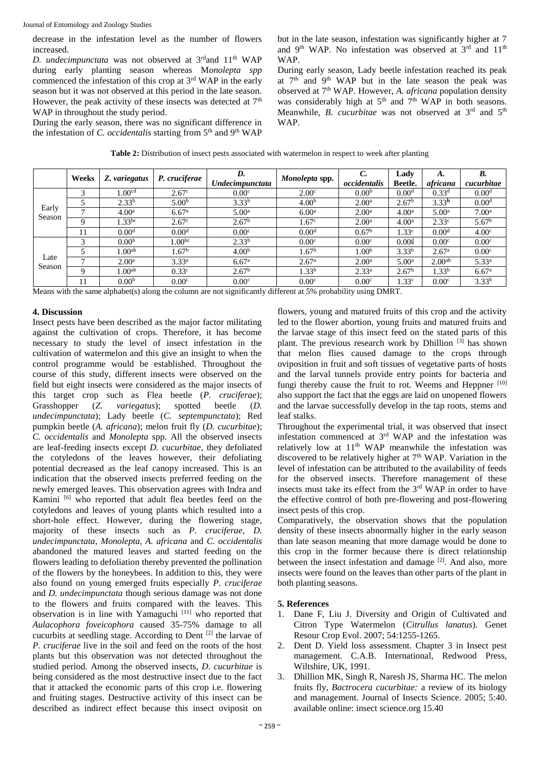decrease in the infestation level as the number of flowers increased.

*D. undecimpunctata* was not observed at 3<sup>rd</sup>and 11<sup>th</sup> WAP during early planting season whereas M*onolepta spp* commenced the infestation of this crop at 3rd WAP in the early season but it was not observed at this period in the late season. However, the peak activity of these insects was detected at  $7<sup>th</sup>$ WAP in throughout the study period.

During the early season, there was no significant difference in the infestation of *C. occidentalis* starting from 5<sup>th</sup> and 9<sup>th</sup> WAP but in the late season, infestation was significantly higher at 7 and 9<sup>th</sup> WAP. No infestation was observed at 3<sup>rd</sup> and 11<sup>th</sup> WAP.

During early season, Lady beetle infestation reached its peak at 7<sup>th</sup> and 9<sup>th</sup> WAP but in the late season the peak was observed at 7th WAP. However, *A. africana* population density was considerably high at  $5<sup>th</sup>$  and  $7<sup>th</sup>$  WAP in both seasons. Meanwhile, *B. cucurbitae* was not observed at 3<sup>rd</sup> and 5<sup>th</sup> WAP.

| Table 2: Distribution of insect pests associated with watermelon in respect to week after planting |  |  |  |
|----------------------------------------------------------------------------------------------------|--|--|--|
|----------------------------------------------------------------------------------------------------|--|--|--|

|                 | Weeks | Z. variegatus      | P. cruciferae     | D.<br><b>Undecimpunctata</b>   | Monolepta spp.    | occidentalis      | Ladv<br>Beetle.   | А.<br>africana     | B.<br>cucurbitae  |
|-----------------|-------|--------------------|-------------------|--------------------------------|-------------------|-------------------|-------------------|--------------------|-------------------|
| Early<br>Season |       | 1.00 <sup>cd</sup> | 2.67 <sup>c</sup> | 0.00 <sup>c</sup>              | 2.00 <sup>c</sup> | 0.00 <sup>b</sup> | 0.00 <sup>d</sup> | 0.33 <sup>d</sup>  | 0.00 <sup>d</sup> |
|                 |       | 2.33 <sup>b</sup>  | 5.00 <sup>b</sup> | $3.33^{b}$                     | 4.00 <sup>b</sup> | 2.00 <sup>a</sup> | 2.67 <sup>b</sup> | 3.33 <sup>b</sup>  | 0.00 <sup>d</sup> |
|                 |       | 4.00 <sup>a</sup>  | 6.67 <sup>a</sup> | 5.00 <sup>a</sup>              | 6.00 <sup>a</sup> | 2.00 <sup>a</sup> | 4.00 <sup>a</sup> | 5.00 <sup>a</sup>  | 7.00 <sup>a</sup> |
|                 |       | $1.33^{bc}$        | 2.67 <sup>c</sup> | 2.67 <sup>b</sup>              | 1.67 <sup>c</sup> | 2.00 <sup>a</sup> | 4.00 <sup>a</sup> | 2.33 <sup>c</sup>  | 5.67 <sup>b</sup> |
|                 |       | 0.00 <sup>d</sup>  | 0.00 <sup>d</sup> | 0.00 <sup>c</sup>              | 0.00 <sup>d</sup> | 0.67 <sup>b</sup> | 1.33 <sup>c</sup> | 0.00 <sup>d</sup>  | 4.00 <sup>c</sup> |
| Late<br>Season  |       | 0.00 <sup>b</sup>  | $1.00^{bc}$       | $2.33^{b}$                     | 0.00 <sup>c</sup> | 0.00 <sup>c</sup> | 0.004             | 0.00 <sup>c</sup>  | 0.00 <sup>c</sup> |
|                 |       | 1.00 <sup>ab</sup> | 1.67 <sup>b</sup> | 4.00 <sup>b</sup>              | 1.67 <sup>b</sup> | 1.00 <sup>b</sup> | 3.33 <sup>b</sup> | 2.67 <sup>a</sup>  | 0.00 <sup>c</sup> |
|                 |       | 2.00 <sup>a</sup>  | $3.33^{a}$        | 6.67 <sup>a</sup>              | 2.67 <sup>a</sup> | 2.00 <sup>a</sup> | 5.00 <sup>a</sup> | 2.00 <sup>ab</sup> | $5.33^{a}$        |
|                 | Q     | 1.00 <sup>ab</sup> | 0.33 <sup>c</sup> | 2.67 <sup>b</sup>              | 1.33 <sup>b</sup> | $2.33^{a}$        | 2.67 <sup>b</sup> | 1.33 <sup>b</sup>  | 6.67 <sup>a</sup> |
|                 |       | 0.00 <sup>b</sup>  | 0.00 <sup>c</sup> | 0.00 <sup>c</sup><br>- - - - - | 0.00 <sup>c</sup> | 0.00 <sup>c</sup> | 1.33 <sup>c</sup> | 0.00 <sup>c</sup>  | 3.33 <sup>b</sup> |

Means with the same alphabet(s) along the column are not significantly different at 5% probability using DMRT.

#### **4. Discussion**

Insect pests have been described as the major factor militating against the cultivation of crops. Therefore, it has become necessary to study the level of insect infestation in the cultivation of watermelon and this give an insight to when the control programme would be established. Throughout the course of this study, different insects were observed on the field but eight insects were considered as the major insects of this target crop such as Flea beetle (*P. cruciferae*); Grasshopper (*Z. variegatus*); spotted beetle (*D. undecimpunctata*); Lady beetle (*C. septempunctata*); Red pumpkin beetle (*A. africana*); melon fruit fly (*D. cucurbitae*); *C. occidentalis* and *Monolepta* spp. All the observed insects are leaf-feeding insects except *D. cucurbitae*, they defoliated the cotyledons of the leaves however, their defoliating potential decreased as the leaf canopy increased. This is an indication that the observed insects preferred feeding on the newly emerged leaves. This observation agrees with Indra and Kamini [6] who reported that adult flea beetles feed on the cotyledons and leaves of young plants which resulted into a short-hole effect. However, during the flowering stage, majority of these insects such as *P. cruciferae*, *D. undecimpunctata*, *Monolepta*, *A. africana* and *C. occidentalis* abandoned the matured leaves and started feeding on the flowers leading to defoliation thereby prevented the pollination of the flowers by the honeybees. In addition to this, they were also found on young emerged fruits especially *P. cruciferae* and *D. undecimpunctata* though serious damage was not done to the flowers and fruits compared with the leaves. This observation is in line with Yamaguchi [11] who reported that *Aulacophora foveicophora* caused 35-75% damage to all cucurbits at seedling stage. According to Dent [2] the larvae of *P. cruciferae* live in the soil and feed on the roots of the host plants but this observation was not detected throughout the studied period. Among the observed insects, *D. cucurbitae* is being considered as the most destructive insect due to the fact that it attacked the economic parts of this crop i.e. flowering and fruiting stages. Destructive activity of this insect can be described as indirect effect because this insect oviposit on

flowers, young and matured fruits of this crop and the activity led to the flower abortion, young fruits and matured fruits and the larvae stage of this insect feed on the stated parts of this plant. The previous research work by Dhillion  $[3]$  has shown that melon flies caused damage to the crops through oviposition in fruit and soft tissues of vegetative parts of hosts and the larval tunnels provide entry points for bacteria and fungi thereby cause the fruit to rot. Weems and Heppner [10] also support the fact that the eggs are laid on unopened flowers and the larvae successfully develop in the tap roots, stems and leaf stalks.

Throughout the experimental trial, it was observed that insect infestation commenced at 3rd WAP and the infestation was relatively low at 11th WAP meanwhile the infestation was discovered to be relatively higher at  $7<sup>th</sup>$  WAP. Variation in the level of infestation can be attributed to the availability of feeds for the observed insects. Therefore management of these insects must take its effect from the 3rd WAP in order to have the effective control of both pre-flowering and post-flowering insect pests of this crop.

Comparatively, the observation shows that the population density of these insects abnormally higher in the early season than late season meaning that more damage would be done to this crop in the former because there is direct relationship between the insect infestation and damage <sup>[2]</sup>. And also, more insects were found on the leaves than other parts of the plant in both planting seasons.

#### **5. References**

- 1. Dane F, Liu J. Diversity and Origin of Cultivated and Citron Type Watermelon (*Citrullus lanatus*). Genet Resour Crop Evol. 2007; 54:1255-1265.
- 2. Dent D. Yield loss assessment. Chapter 3 in Insect pest management. C.A.B. International, Redwood Press, Wiltshire, UK, 1991.
- 3. Dhillion MK, Singh R, Naresh JS, Sharma HC. The melon fruits fly, *Bactrocera cucurbitae:* a review of its biology and management. Journal of Insects Science. 2005; 5:40. available online: insect science.org 15.40